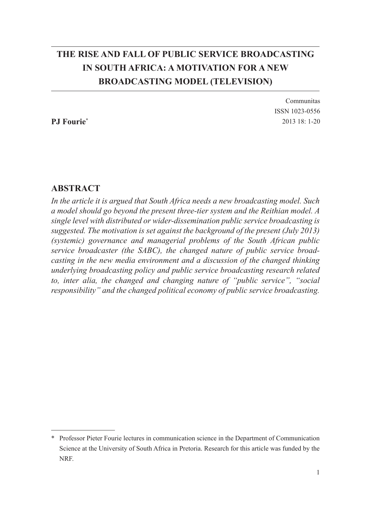# **THE RISE AND FALL OF PUBLIC SERVICE BROADCASTING IN SOUTH AFRICA: A MOTIVATION FOR A NEW BROADCASTING MODEL (TELEVISION)**

**PJ Fourie\***

Communitas ISSN 1023-0556 2013 18: 1-20

### **ABSTRACT**

*In the article it is argued that South Africa needs a new broadcasting model. Such a model should go beyond the present three-tier system and the Reithian model. A single level with distributed or wider-dissemination public service broadcasting is suggested. The motivation is set against the background of the present (July 2013) (systemic) governance and managerial problems of the South African public service broadcaster (the SABC), the changed nature of public service broadcasting in the new media environment and a discussion of the changed thinking underlying broadcasting policy and public service broadcasting research related to, inter alia, the changed and changing nature of "public service", "social responsibility" and the changed political economy of public service broadcasting.* 

<sup>\*</sup> Professor Pieter Fourie lectures in communication science in the Department of Communication Science at the University of South Africa in Pretoria. Research for this article was funded by the NRF.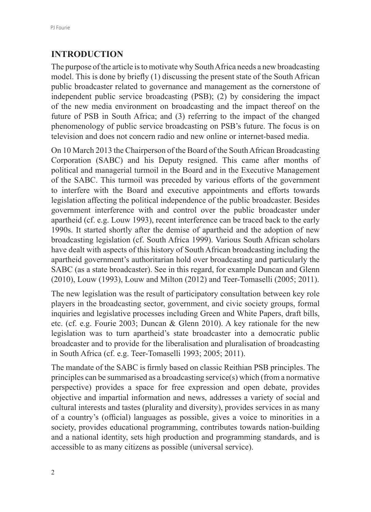### **INTRODUCTION**

The purpose of the article is to motivate why South Africa needs a new broadcasting model. This is done by briefly (1) discussing the present state of the South African public broadcaster related to governance and management as the cornerstone of independent public service broadcasting (PSB); (2) by considering the impact of the new media environment on broadcasting and the impact thereof on the future of PSB in South Africa; and (3) referring to the impact of the changed phenomenology of public service broadcasting on PSB's future. The focus is on television and does not concern radio and new online or internet-based media.

On 10 March 2013 the Chairperson of the Board of the South African Broadcasting Corporation (SABC) and his Deputy resigned. This came after months of political and managerial turmoil in the Board and in the Executive Management of the SABC. This turmoil was preceded by various efforts of the government to interfere with the Board and executive appointments and efforts towards legislation affecting the political independence of the public broadcaster. Besides government interference with and control over the public broadcaster under apartheid (cf. e.g. Louw 1993), recent interference can be traced back to the early 1990s. It started shortly after the demise of apartheid and the adoption of new broadcasting legislation (cf. South Africa 1999). Various South African scholars have dealt with aspects of this history of South African broadcasting including the apartheid government's authoritarian hold over broadcasting and particularly the SABC (as a state broadcaster). See in this regard, for example Duncan and Glenn (2010), Louw (1993), Louw and Milton (2012) and Teer-Tomaselli (2005; 2011).

The new legislation was the result of participatory consultation between key role players in the broadcasting sector, government, and civic society groups, formal inquiries and legislative processes including Green and White Papers, draft bills, etc. (cf. e.g. Fourie 2003; Duncan & Glenn 2010). A key rationale for the new legislation was to turn apartheid's state broadcaster into a democratic public broadcaster and to provide for the liberalisation and pluralisation of broadcasting in South Africa (cf. e.g. Teer-Tomaselli 1993; 2005; 2011).

The mandate of the SABC is firmly based on classic Reithian PSB principles. The principles can be summarised as a broadcasting service(s) which (from a normative perspective) provides a space for free expression and open debate, provides objective and impartial information and news, addresses a variety of social and cultural interests and tastes (plurality and diversity), provides services in as many of a country's (official) languages as possible, gives a voice to minorities in a society, provides educational programming, contributes towards nation-building and a national identity, sets high production and programming standards, and is accessible to as many citizens as possible (universal service).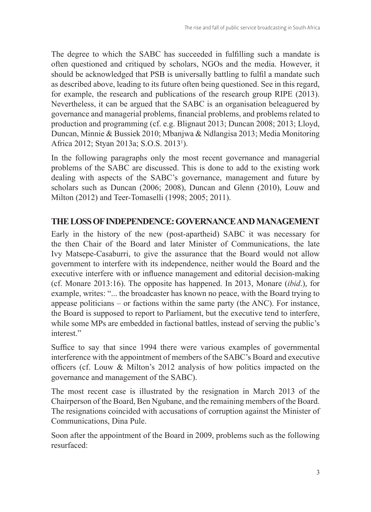The degree to which the SABC has succeeded in fulfilling such a mandate is often questioned and critiqued by scholars, NGOs and the media. However, it should be acknowledged that PSB is universally battling to fulfil a mandate such as described above, leading to its future often being questioned. See in this regard, for example, the research and publications of the research group RIPE (2013). Nevertheless, it can be argued that the SABC is an organisation beleaguered by governance and managerial problems, financial problems, and problems related to production and programming (cf. e.g. Blignaut 2013; Duncan 2008; 2013; Lloyd, Duncan, Minnie & Bussiek 2010; Mbanjwa & Ndlangisa 2013; Media Monitoring Africa 2012; Styan 2013a; S.O.S. 2013<sup>1</sup> ).

In the following paragraphs only the most recent governance and managerial problems of the SABC are discussed. This is done to add to the existing work dealing with aspects of the SABC's governance, management and future by scholars such as Duncan (2006; 2008), Duncan and Glenn (2010), Louw and Milton (2012) and Teer-Tomaselli (1998; 2005; 2011).

### **THE LOSS OF INDEPENDENCE: GOVERNANCE AND MANAGEMENT**

Early in the history of the new (post-apartheid) SABC it was necessary for the then Chair of the Board and later Minister of Communications, the late Ivy Matsepe-Casaburri, to give the assurance that the Board would not allow government to interfere with its independence, neither would the Board and the executive interfere with or influence management and editorial decision-making (cf. Monare 2013:16). The opposite has happened. In 2013, Monare (*ibid*.), for example, writes: "... the broadcaster has known no peace, with the Board trying to appease politicians – or factions within the same party (the ANC). For instance, the Board is supposed to report to Parliament, but the executive tend to interfere, while some MPs are embedded in factional battles, instead of serving the public's interest."

Suffice to say that since 1994 there were various examples of governmental interference with the appointment of members of the SABC's Board and executive officers (cf. Louw & Milton's 2012 analysis of how politics impacted on the governance and management of the SABC).

The most recent case is illustrated by the resignation in March 2013 of the Chairperson of the Board, Ben Ngubane, and the remaining members of the Board. The resignations coincided with accusations of corruption against the Minister of Communications, Dina Pule.

Soon after the appointment of the Board in 2009, problems such as the following resurfaced: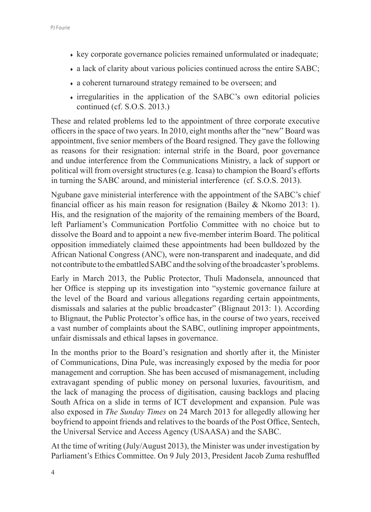- ♦ key corporate governance policies remained unformulated or inadequate;
- a lack of clarity about various policies continued across the entire SABC;
- ♦ a coherent turnaround strategy remained to be overseen; and
- ♦ irregularities in the application of the SABC's own editorial policies continued (cf. S.O.S. 2013.)

These and related problems led to the appointment of three corporate executive officers in the space of two years. In 2010, eight months after the "new" Board was appointment, five senior members of the Board resigned. They gave the following as reasons for their resignation: internal strife in the Board, poor governance and undue interference from the Communications Ministry, a lack of support or political will from oversight structures (e.g. Icasa) to champion the Board's efforts in turning the SABC around, and ministerial interference (cf. S.O.S. 2013).

Ngubane gave ministerial interference with the appointment of the SABC's chief financial officer as his main reason for resignation (Bailey & Nkomo 2013: 1). His, and the resignation of the majority of the remaining members of the Board, left Parliament's Communication Portfolio Committee with no choice but to dissolve the Board and to appoint a new five-member interim Board. The political opposition immediately claimed these appointments had been bulldozed by the African National Congress (ANC), were non-transparent and inadequate, and did not contribute to the embattled SABC and the solving of the broadcaster's problems.

Early in March 2013, the Public Protector, Thuli Madonsela, announced that her Office is stepping up its investigation into "systemic governance failure at the level of the Board and various allegations regarding certain appointments, dismissals and salaries at the public broadcaster" (Blignaut 2013: 1). According to Blignaut, the Public Protector's office has, in the course of two years, received a vast number of complaints about the SABC, outlining improper appointments, unfair dismissals and ethical lapses in governance.

In the months prior to the Board's resignation and shortly after it, the Minister of Communications, Dina Pule, was increasingly exposed by the media for poor management and corruption. She has been accused of mismanagement, including extravagant spending of public money on personal luxuries, favouritism, and the lack of managing the process of digitisation, causing backlogs and placing South Africa on a slide in terms of ICT development and expansion. Pule was also exposed in *The Sunday Times* on 24 March 2013 for allegedly allowing her boyfriend to appoint friends and relatives to the boards of the Post Office, Sentech, the Universal Service and Access Agency (USAASA) and the SABC.

At the time of writing (July/August 2013), the Minister was under investigation by Parliament's Ethics Committee. On 9 July 2013, President Jacob Zuma reshuffled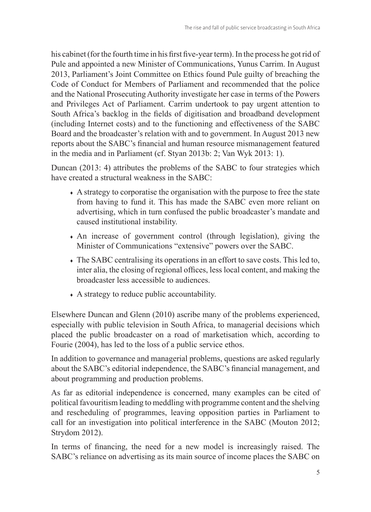his cabinet (for the fourth time in his first five-year term). In the process he got rid of Pule and appointed a new Minister of Communications, Yunus Carrim. In August 2013, Parliament's Joint Committee on Ethics found Pule guilty of breaching the Code of Conduct for Members of Parliament and recommended that the police and the National Prosecuting Authority investigate her case in terms of the Powers and Privileges Act of Parliament. Carrim undertook to pay urgent attention to South Africa's backlog in the fields of digitisation and broadband development (including Internet costs) and to the functioning and effectiveness of the SABC Board and the broadcaster's relation with and to government. In August 2013 new reports about the SABC's financial and human resource mismanagement featured in the media and in Parliament (cf. Styan 2013b: 2; Van Wyk 2013: 1).

Duncan (2013: 4) attributes the problems of the SABC to four strategies which have created a structural weakness in the SABC:

- ♦ A strategy to corporatise the organisation with the purpose to free the state from having to fund it. This has made the SABC even more reliant on advertising, which in turn confused the public broadcaster's mandate and caused institutional instability.
- ♦ An increase of government control (through legislation), giving the Minister of Communications "extensive" powers over the SABC.
- ♦ The SABC centralising its operations in an effort to save costs. This led to, inter alia, the closing of regional offices, less local content, and making the broadcaster less accessible to audiences.
- ♦ A strategy to reduce public accountability.

Elsewhere Duncan and Glenn (2010) ascribe many of the problems experienced, especially with public television in South Africa, to managerial decisions which placed the public broadcaster on a road of marketisation which, according to Fourie (2004), has led to the loss of a public service ethos.

In addition to governance and managerial problems, questions are asked regularly about the SABC's editorial independence, the SABC's financial management, and about programming and production problems.

As far as editorial independence is concerned, many examples can be cited of political favouritism leading to meddling with programme content and the shelving and rescheduling of programmes, leaving opposition parties in Parliament to call for an investigation into political interference in the SABC (Mouton 2012; Strydom 2012).

In terms of financing, the need for a new model is increasingly raised. The SABC's reliance on advertising as its main source of income places the SABC on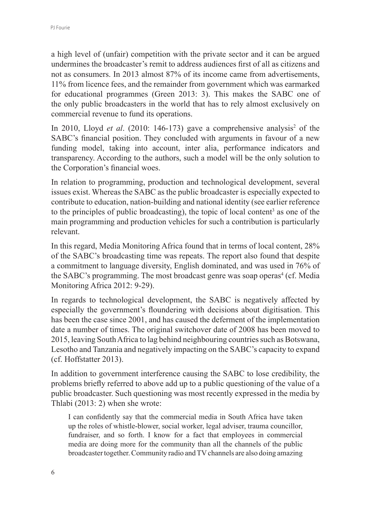a high level of (unfair) competition with the private sector and it can be argued undermines the broadcaster's remit to address audiences first of all as citizens and not as consumers. In 2013 almost 87% of its income came from advertisements, 11% from licence fees, and the remainder from government which was earmarked for educational programmes (Green 2013: 3). This makes the SABC one of the only public broadcasters in the world that has to rely almost exclusively on commercial revenue to fund its operations.

In 2010, Lloyd *et al.* (2010: 146-173) gave a comprehensive analysis<sup>2</sup> of the SABC's financial position. They concluded with arguments in favour of a new funding model, taking into account, inter alia, performance indicators and transparency. According to the authors, such a model will be the only solution to the Corporation's financial woes.

In relation to programming, production and technological development, several issues exist. Whereas the SABC as the public broadcaster is especially expected to contribute to education, nation-building and national identity (see earlier reference to the principles of public broadcasting), the topic of local content<sup>3</sup> as one of the main programming and production vehicles for such a contribution is particularly relevant.

In this regard, Media Monitoring Africa found that in terms of local content, 28% of the SABC's broadcasting time was repeats. The report also found that despite a commitment to language diversity, English dominated, and was used in 76% of the SABC's programming. The most broadcast genre was soap operas<sup>4</sup> (cf. Media Monitoring Africa 2012: 9-29).

In regards to technological development, the SABC is negatively affected by especially the government's floundering with decisions about digitisation. This has been the case since 2001, and has caused the deferment of the implementation date a number of times. The original switchover date of 2008 has been moved to 2015, leaving South Africa to lag behind neighbouring countries such as Botswana, Lesotho and Tanzania and negatively impacting on the SABC's capacity to expand (cf. Hoffstatter 2013).

In addition to government interference causing the SABC to lose credibility, the problems briefly referred to above add up to a public questioning of the value of a public broadcaster. Such questioning was most recently expressed in the media by Thlabi (2013: 2) when she wrote:

I can confidently say that the commercial media in South Africa have taken up the roles of whistle-blower, social worker, legal adviser, trauma councillor, fundraiser, and so forth. I know for a fact that employees in commercial media are doing more for the community than all the channels of the public broadcaster together. Community radio and TV channels are also doing amazing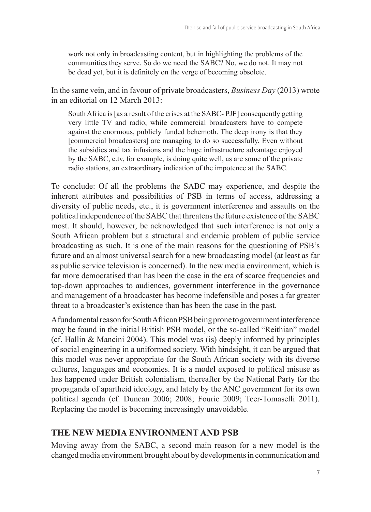work not only in broadcasting content, but in highlighting the problems of the communities they serve. So do we need the SABC? No, we do not. It may not be dead yet, but it is definitely on the verge of becoming obsolete.

In the same vein, and in favour of private broadcasters, *Business Day* (2013) wrote in an editorial on 12 March 2013:

South Africa is [as a result of the crises at the SABC- PJF] consequently getting very little TV and radio, while commercial broadcasters have to compete against the enormous, publicly funded behemoth. The deep irony is that they [commercial broadcasters] are managing to do so successfully. Even without the subsidies and tax infusions and the huge infrastructure advantage enjoyed by the SABC, e.tv, for example, is doing quite well, as are some of the private radio stations, an extraordinary indication of the impotence at the SABC.

To conclude: Of all the problems the SABC may experience, and despite the inherent attributes and possibilities of PSB in terms of access, addressing a diversity of public needs, etc., it is government interference and assaults on the political independence of the SABC that threatens the future existence of the SABC most. It should, however, be acknowledged that such interference is not only a South African problem but a structural and endemic problem of public service broadcasting as such. It is one of the main reasons for the questioning of PSB's future and an almost universal search for a new broadcasting model (at least as far as public service television is concerned). In the new media environment, which is far more democratised than has been the case in the era of scarce frequencies and top-down approaches to audiences, government interference in the governance and management of a broadcaster has become indefensible and poses a far greater threat to a broadcaster's existence than has been the case in the past.

A fundamental reason for South African PSB being prone to government interference may be found in the initial British PSB model, or the so-called "Reithian" model (cf. Hallin & Mancini 2004). This model was (is) deeply informed by principles of social engineering in a uniformed society. With hindsight, it can be argued that this model was never appropriate for the South African society with its diverse cultures, languages and economies. It is a model exposed to political misuse as has happened under British colonialism, thereafter by the National Party for the propaganda of apartheid ideology, and lately by the ANC government for its own political agenda (cf. Duncan 2006; 2008; Fourie 2009; Teer-Tomaselli 2011). Replacing the model is becoming increasingly unavoidable.

#### **THE NEW MEDIA ENVIRONMENT AND PSB**

Moving away from the SABC, a second main reason for a new model is the changed media environment brought about by developments in communication and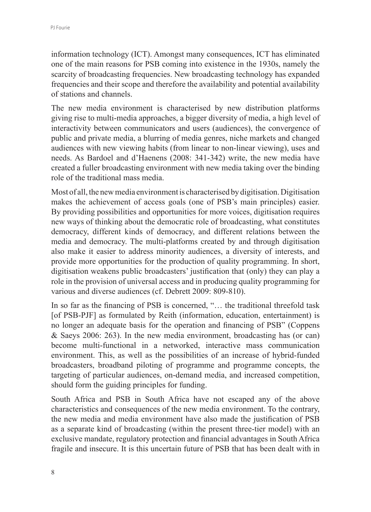information technology (ICT). Amongst many consequences, ICT has eliminated one of the main reasons for PSB coming into existence in the 1930s, namely the scarcity of broadcasting frequencies. New broadcasting technology has expanded frequencies and their scope and therefore the availability and potential availability of stations and channels.

The new media environment is characterised by new distribution platforms giving rise to multi-media approaches, a bigger diversity of media, a high level of interactivity between communicators and users (audiences), the convergence of public and private media, a blurring of media genres, niche markets and changed audiences with new viewing habits (from linear to non-linear viewing), uses and needs. As Bardoel and d'Haenens (2008: 341-342) write, the new media have created a fuller broadcasting environment with new media taking over the binding role of the traditional mass media.

Most of all, the new media environment is characterised by digitisation. Digitisation makes the achievement of access goals (one of PSB's main principles) easier. By providing possibilities and opportunities for more voices, digitisation requires new ways of thinking about the democratic role of broadcasting, what constitutes democracy, different kinds of democracy, and different relations between the media and democracy. The multi-platforms created by and through digitisation also make it easier to address minority audiences, a diversity of interests, and provide more opportunities for the production of quality programming. In short, digitisation weakens public broadcasters' justification that (only) they can play a role in the provision of universal access and in producing quality programming for various and diverse audiences (cf. Debrett 2009: 809-810).

In so far as the financing of PSB is concerned, "… the traditional threefold task [of PSB-PJF] as formulated by Reith (information, education, entertainment) is no longer an adequate basis for the operation and financing of PSB" (Coppens & Saeys 2006: 263). In the new media environment, broadcasting has (or can) become multi-functional in a networked, interactive mass communication environment. This, as well as the possibilities of an increase of hybrid-funded broadcasters, broadband piloting of programme and programme concepts, the targeting of particular audiences, on-demand media, and increased competition, should form the guiding principles for funding.

South Africa and PSB in South Africa have not escaped any of the above characteristics and consequences of the new media environment. To the contrary, the new media and media environment have also made the justification of PSB as a separate kind of broadcasting (within the present three-tier model) with an exclusive mandate, regulatory protection and financial advantages in South Africa fragile and insecure. It is this uncertain future of PSB that has been dealt with in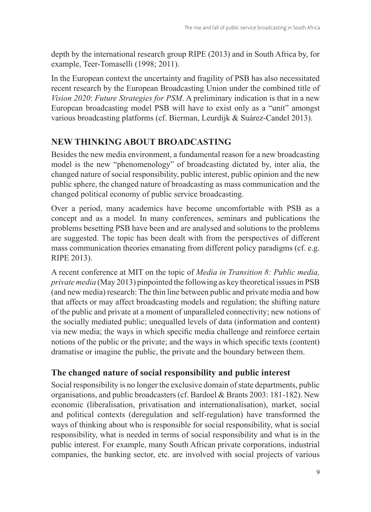depth by the international research group RIPE (2013) and in South Africa by, for example, Teer-Tomaselli (1998; 2011).

In the European context the uncertainty and fragility of PSB has also necessitated recent research by the European Broadcasting Union under the combined title of *Vision 2020*: *Future Strategies for PSM*. A preliminary indication is that in a new European broadcasting model PSB will have to exist only as a "unit" amongst various broadcasting platforms (cf. Bierman, Leurdijk & Suárez-Candel 2013).

## **NEW THINKING ABOUT BROADCASTING**

Besides the new media environment, a fundamental reason for a new broadcasting model is the new "phenomenology" of broadcasting dictated by, inter alia, the changed nature of social responsibility, public interest, public opinion and the new public sphere, the changed nature of broadcasting as mass communication and the changed political economy of public service broadcasting.

Over a period, many academics have become uncomfortable with PSB as a concept and as a model. In many conferences, seminars and publications the problems besetting PSB have been and are analysed and solutions to the problems are suggested. The topic has been dealt with from the perspectives of different mass communication theories emanating from different policy paradigms (cf. e.g. RIPE 2013).

A recent conference at MIT on the topic of *Media in Transition 8: Public media, private media* (May 2013) pinpointed the following as key theoretical issues in PSB (and new media) research: The thin line between public and private media and how that affects or may affect broadcasting models and regulation; the shifting nature of the public and private at a moment of unparalleled connectivity; new notions of the socially mediated public; unequalled levels of data (information and content) via new media; the ways in which specific media challenge and reinforce certain notions of the public or the private; and the ways in which specific texts (content) dramatise or imagine the public, the private and the boundary between them.

### **The changed nature of social responsibility and public interest**

Social responsibility is no longer the exclusive domain of state departments, public organisations, and public broadcasters (cf. Bardoel & Brants 2003: 181-182). New economic (liberalisation, privatisation and internationalisation), market, social and political contexts (deregulation and self-regulation) have transformed the ways of thinking about who is responsible for social responsibility, what is social responsibility, what is needed in terms of social responsibility and what is in the public interest. For example, many South African private corporations, industrial companies, the banking sector, etc. are involved with social projects of various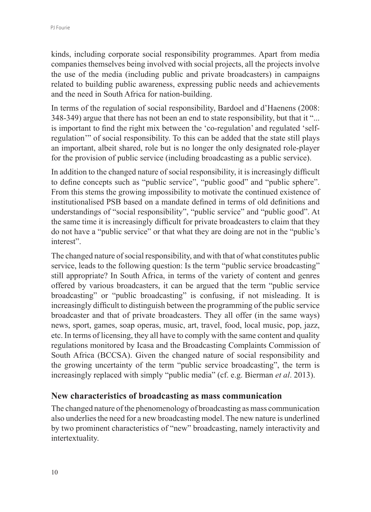kinds, including corporate social responsibility programmes. Apart from media companies themselves being involved with social projects, all the projects involve the use of the media (including public and private broadcasters) in campaigns related to building public awareness, expressing public needs and achievements and the need in South Africa for nation-building.

In terms of the regulation of social responsibility, Bardoel and d'Haenens (2008: 348-349) argue that there has not been an end to state responsibility, but that it "... is important to find the right mix between the 'co-regulation' and regulated 'selfregulation'" of social responsibility. To this can be added that the state still plays an important, albeit shared, role but is no longer the only designated role-player for the provision of public service (including broadcasting as a public service).

In addition to the changed nature of social responsibility, it is increasingly difficult to define concepts such as "public service", "public good" and "public sphere". From this stems the growing impossibility to motivate the continued existence of institutionalised PSB based on a mandate defined in terms of old definitions and understandings of "social responsibility", "public service" and "public good". At the same time it is increasingly difficult for private broadcasters to claim that they do not have a "public service" or that what they are doing are not in the "public's interest".

The changed nature of social responsibility, and with that of what constitutes public service, leads to the following question: Is the term "public service broadcasting" still appropriate? In South Africa, in terms of the variety of content and genres offered by various broadcasters, it can be argued that the term "public service broadcasting" or "public broadcasting" is confusing, if not misleading. It is increasingly difficult to distinguish between the programming of the public service broadcaster and that of private broadcasters. They all offer (in the same ways) news, sport, games, soap operas, music, art, travel, food, local music, pop, jazz, etc. In terms of licensing, they all have to comply with the same content and quality regulations monitored by Icasa and the Broadcasting Complaints Commission of South Africa (BCCSA). Given the changed nature of social responsibility and the growing uncertainty of the term "public service broadcasting", the term is increasingly replaced with simply "public media" (cf. e.g. Bierman *et al*. 2013).

#### **New characteristics of broadcasting as mass communication**

The changed nature of the phenomenology of broadcasting as mass communication also underlies the need for a new broadcasting model. The new nature is underlined by two prominent characteristics of "new" broadcasting, namely interactivity and intertextuality.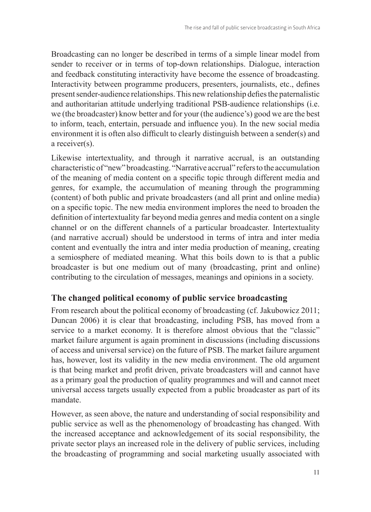Broadcasting can no longer be described in terms of a simple linear model from sender to receiver or in terms of top-down relationships. Dialogue, interaction and feedback constituting interactivity have become the essence of broadcasting. Interactivity between programme producers, presenters, journalists, etc., defines present sender-audience relationships. This new relationship defies the paternalistic and authoritarian attitude underlying traditional PSB-audience relationships (i.e. we (the broadcaster) know better and for your (the audience's) good we are the best to inform, teach, entertain, persuade and influence you). In the new social media environment it is often also difficult to clearly distinguish between a sender(s) and a receiver(s).

Likewise intertextuality, and through it narrative accrual, is an outstanding characteristic of "new" broadcasting. "Narrative accrual" refers to the accumulation of the meaning of media content on a specific topic through different media and genres, for example, the accumulation of meaning through the programming (content) of both public and private broadcasters (and all print and online media) on a specific topic. The new media environment implores the need to broaden the definition of intertextuality far beyond media genres and media content on a single channel or on the different channels of a particular broadcaster. Intertextuality (and narrative accrual) should be understood in terms of intra and inter media content and eventually the intra and inter media production of meaning, creating a semiosphere of mediated meaning. What this boils down to is that a public broadcaster is but one medium out of many (broadcasting, print and online) contributing to the circulation of messages, meanings and opinions in a society.

#### **The changed political economy of public service broadcasting**

From research about the political economy of broadcasting (cf. Jakubowicz 2011; Duncan 2006) it is clear that broadcasting, including PSB, has moved from a service to a market economy. It is therefore almost obvious that the "classic" market failure argument is again prominent in discussions (including discussions of access and universal service) on the future of PSB. The market failure argument has, however, lost its validity in the new media environment. The old argument is that being market and profit driven, private broadcasters will and cannot have as a primary goal the production of quality programmes and will and cannot meet universal access targets usually expected from a public broadcaster as part of its mandate.

However, as seen above, the nature and understanding of social responsibility and public service as well as the phenomenology of broadcasting has changed. With the increased acceptance and acknowledgement of its social responsibility, the private sector plays an increased role in the delivery of public services, including the broadcasting of programming and social marketing usually associated with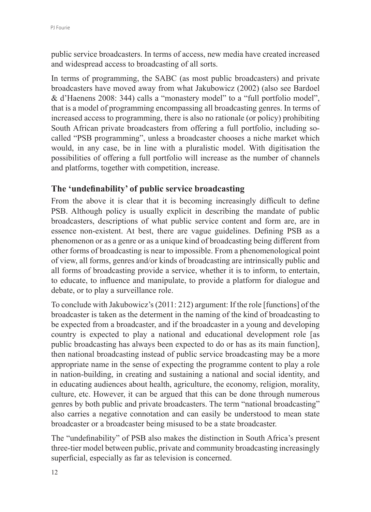public service broadcasters. In terms of access, new media have created increased and widespread access to broadcasting of all sorts.

In terms of programming, the SABC (as most public broadcasters) and private broadcasters have moved away from what Jakubowicz (2002) (also see Bardoel & d'Haenens 2008: 344) calls a "monastery model" to a "full portfolio model", that is a model of programming encompassing all broadcasting genres. In terms of increased access to programming, there is also no rationale (or policy) prohibiting South African private broadcasters from offering a full portfolio, including socalled "PSB programming", unless a broadcaster chooses a niche market which would, in any case, be in line with a pluralistic model. With digitisation the possibilities of offering a full portfolio will increase as the number of channels and platforms, together with competition, increase.

### **The 'undefinability' of public service broadcasting**

From the above it is clear that it is becoming increasingly difficult to define PSB. Although policy is usually explicit in describing the mandate of public broadcasters, descriptions of what public service content and form are, are in essence non-existent. At best, there are vague guidelines. Defining PSB as a phenomenon or as a genre or as a unique kind of broadcasting being different from other forms of broadcasting is near to impossible. From a phenomenological point of view, all forms, genres and/or kinds of broadcasting are intrinsically public and all forms of broadcasting provide a service, whether it is to inform, to entertain, to educate, to influence and manipulate, to provide a platform for dialogue and debate, or to play a surveillance role.

To conclude with Jakubowicz's (2011: 212) argument: If the role [functions] of the broadcaster is taken as the determent in the naming of the kind of broadcasting to be expected from a broadcaster, and if the broadcaster in a young and developing country is expected to play a national and educational development role [as public broadcasting has always been expected to do or has as its main function], then national broadcasting instead of public service broadcasting may be a more appropriate name in the sense of expecting the programme content to play a role in nation-building, in creating and sustaining a national and social identity, and in educating audiences about health, agriculture, the economy, religion, morality, culture, etc. However, it can be argued that this can be done through numerous genres by both public and private broadcasters. The term "national broadcasting" also carries a negative connotation and can easily be understood to mean state broadcaster or a broadcaster being misused to be a state broadcaster.

The "undefinability" of PSB also makes the distinction in South Africa's present three-tier model between public, private and community broadcasting increasingly superficial, especially as far as television is concerned.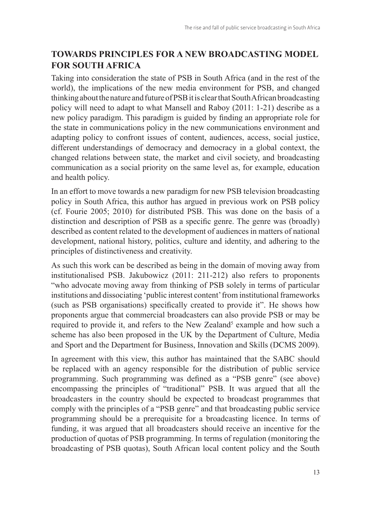## **TOWARDS PRINCIPLES FOR A NEW BROADCASTING MODEL FOR SOUTH AFRICA**

Taking into consideration the state of PSB in South Africa (and in the rest of the world), the implications of the new media environment for PSB, and changed thinking about the nature and future of PSB it is clear that South African broadcasting policy will need to adapt to what Mansell and Raboy (2011: 1-21) describe as a new policy paradigm. This paradigm is guided by finding an appropriate role for the state in communications policy in the new communications environment and adapting policy to confront issues of content, audiences, access, social justice, different understandings of democracy and democracy in a global context, the changed relations between state, the market and civil society, and broadcasting communication as a social priority on the same level as, for example, education and health policy.

In an effort to move towards a new paradigm for new PSB television broadcasting policy in South Africa, this author has argued in previous work on PSB policy (cf. Fourie 2005; 2010) for distributed PSB. This was done on the basis of a distinction and description of PSB as a specific genre. The genre was (broadly) described as content related to the development of audiences in matters of national development, national history, politics, culture and identity, and adhering to the principles of distinctiveness and creativity.

As such this work can be described as being in the domain of moving away from institutionalised PSB. Jakubowicz (2011: 211-212) also refers to proponents "who advocate moving away from thinking of PSB solely in terms of particular institutions and dissociating 'public interest content' from institutional frameworks (such as PSB organisations) specifically created to provide it". He shows how proponents argue that commercial broadcasters can also provide PSB or may be required to provide it, and refers to the New Zealand<sup>5</sup> example and how such a scheme has also been proposed in the UK by the Department of Culture, Media and Sport and the Department for Business, Innovation and Skills (DCMS 2009).

In agreement with this view, this author has maintained that the SABC should be replaced with an agency responsible for the distribution of public service programming. Such programming was defined as a "PSB genre" (see above) encompassing the principles of "traditional" PSB. It was argued that all the broadcasters in the country should be expected to broadcast programmes that comply with the principles of a "PSB genre" and that broadcasting public service programming should be a prerequisite for a broadcasting licence. In terms of funding, it was argued that all broadcasters should receive an incentive for the production of quotas of PSB programming. In terms of regulation (monitoring the broadcasting of PSB quotas), South African local content policy and the South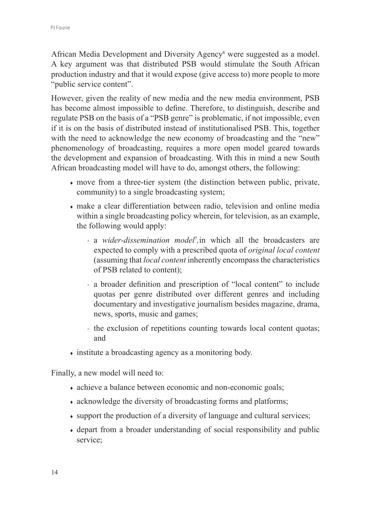African Media Development and Diversity Agency<sup>6</sup> were suggested as a model. A key argument was that distributed PSB would stimulate the South African production industry and that it would expose (give access to) more people to more "*public* service content".

However, given the reality of new media and the new media environment, PSB has become almost impossible to define. Therefore, to distinguish, describe and regulate PSB on the basis of a "PSB genre" is problematic, if not impossible, even if it is on the basis of distributed instead of institutionalised PSB. This, together with the need to acknowledge the new economy of broadcasting and the "new" phenomenology of broadcasting, requires a more open model geared towards the development and expansion of broadcasting. With this in mind a new South African broadcasting model will have to do, amongst others, the following:

- ♦ move from a three-tier system (the distinction between public, private, community) to a single broadcasting system;
- ♦ make a clear differentiation between radio, television and online media within a single broadcasting policy wherein, for television, as an example, the following would apply:
	- a *wider-dissemination model<sup>†</sup>*, in which all the broadcasters are expected to comply with a prescribed quota of *original local content* (assuming that *local content* inherently encompass the characteristics of PSB related to content);
	- a broader definition and prescription of "local content" to include quotas per genre distributed over different genres and including documentary and investigative journalism besides magazine, drama, news, sports, music and games;
	- the exclusion of repetitions counting towards local content quotas; and
- ♦ institute a broadcasting agency as a monitoring body.

Finally, a new model will need to:

- ♦ achieve a balance between economic and non-economic goals;
- acknowledge the diversity of broadcasting forms and platforms;
- support the production of a diversity of language and cultural services;
- ♦ depart from a broader understanding of social responsibility and public service;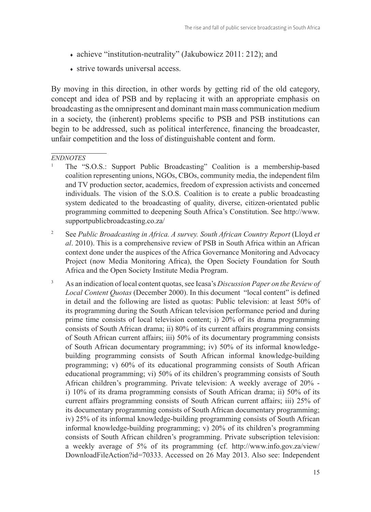- ♦ achieve "institution-neutrality" (Jakubowicz 2011: 212); and
- $\triangle$  strive towards universal access.

By moving in this direction, in other words by getting rid of the old category, concept and idea of PSB and by replacing it with an appropriate emphasis on broadcasting as the omnipresent and dominant main mass communication medium in a society, the (inherent) problems specific to PSB and PSB institutions can begin to be addressed, such as political interference, financing the broadcaster, unfair competition and the loss of distinguishable content and form.

#### *ENDNOTES*

- <sup>1</sup> The "S.O.S.: Support Public Broadcasting" Coalition is a membership-based coalition representing unions, NGOs, CBOs, community media, the independent film and TV production sector, academics, freedom of expression activists and concerned individuals. The vision of the S.O.S. Coalition is to create a public broadcasting system dedicated to the broadcasting of quality, diverse, citizen-orientated public programming committed to deepening South Africa's Constitution. See http://www. supportpublicbroadcasting.co.za/
- <sup>2</sup> See *Public Broadcasting in Africa. A survey. South African Country Report* (Lloyd *et al*. 2010). This is a comprehensive review of PSB in South Africa within an African context done under the auspices of the Africa Governance Monitoring and Advocacy Project (now Media Monitoring Africa), the Open Society Foundation for South Africa and the Open Society Institute Media Program.
- <sup>3</sup> As an indication of local content quotas, see Icasa's *Discussion Paper on the Review of Local Content Quotas* (December 2000). In this document "local content" is defined in detail and the following are listed as quotas: Public television: at least 50% of its programming during the South African television performance period and during prime time consists of local television content; i) 20% of its drama programming consists of South African drama; ii) 80% of its current affairs programming consists of South African current affairs; iii) 50% of its documentary programming consists of South African documentary programming; iv) 50% of its informal knowledgebuilding programming consists of South African informal knowledge-building programming; v) 60% of its educational programming consists of South African educational programming; vi) 50% of its children's programming consists of South African children's programming. Private television: A weekly average of 20% i) 10% of its drama programming consists of South African drama; ii) 50% of its current affairs programming consists of South African current affairs; iii) 25% of its documentary programming consists of South African documentary programming; iv) 25% of its informal knowledge-building programming consists of South African informal knowledge-building programming; v) 20% of its children's programming consists of South African children's programming. Private subscription television: a weekly average of 5% of its programming (cf. http://www.info.gov.za/view/ DownloadFileAction?id=70333. Accessed on 26 May 2013. Also see: Independent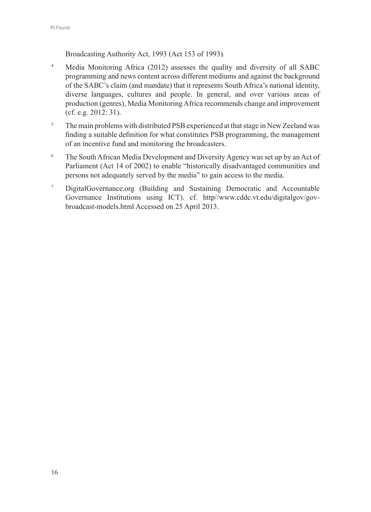Broadcasting Authority Act, 1993 (Act 153 of 1993).

- <sup>4</sup> Media Monitoring Africa (2012) assesses the quality and diversity of all SABC programming and news content across different mediums and against the background of the SABC's claim (and mandate) that it represents South Africa's national identity, diverse languages, cultures and people. In general, and over various areas of production (genres), Media Monitoring Africa recommends change and improvement (cf. e.g. 2012: 31).
- <sup>5</sup> The main problems with distributed PSB experienced at that stage in New Zeeland was finding a suitable definition for what constitutes PSB programming, the management of an incentive fund and monitoring the broadcasters.
- <sup>6</sup> The South African Media Development and Diversity Agency was set up by an Act of Parliament (Act 14 of 2002) to enable "historically disadvantaged communities and persons not adequately served by the media" to gain access to the media.
- <sup>7</sup> DigitalGovernance.org (Building and Sustaining Democratic and Accountable Governance Institutions using ICT). cf. http//www.cddc.vt.edu/digitalgov/govbroadcast-models.html Accessed on 25 April 2013.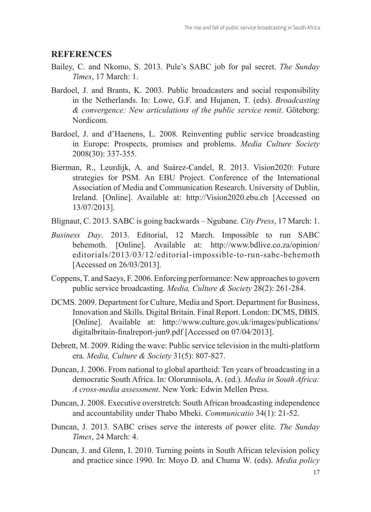#### **REFERENCES**

- Bailey, C. and Nkomo, S. 2013. Pule's SABC job for pal secret. *The Sunday Times*, 17 March: 1.
- Bardoel, J. and Brants, K. 2003. Public broadcasters and social responsibility in the Netherlands. In: Lowe, G.F. and Hujanen, T. (eds). *Broadcasting & convergence: New articulations of the public service remit*. Göteborg: Nordicom.
- Bardoel, J. and d'Haenens, L. 2008. Reinventing public service broadcasting in Europe: Prospects, promises and problems. *Media Culture Society*  2008(30): 337-355.
- Bierman, R., Leurdijk, A. and Suárez-Candel, R. 2013. Vision2020: Future strategies for PSM. An EBU Project. Conference of the International Association of Media and Communication Research. University of Dublin, Ireland. [Online]. Available at: http://Vision2020.ebu.ch [Accessed on 13/07/2013].
- Blignaut, C. 2013. SABC is going backwards Ngubane. *City Press*, 17 March: 1.
- *Business Day*. 2013. Editorial, 12 March. Impossible to run SABC behemoth. [Online]. Available at: http://www.bdlive.co.za/opinion/ editorials/2013/03/12/editorial-impossible-to-run-sabc-behemoth [Accessed on 26/03/2013].
- Coppens, T. and Saeys, F. 2006. Enforcing performance: New approaches to govern public service broadcasting. *Media, Culture & Society* 28(2): 261‑284.
- DCMS. 2009. Department for Culture, Media and Sport. Department for Business, Innovation and Skills. Digital Britain. Final Report. London: DCMS, DBIS. [Online]. Available at: http://www.culture.gov.uk/images/publications/ digitalbritain-finalreport-jun9.pdf [Accessed on 07/04/2013].
- Debrett, M. 2009. Riding the wave: Public service television in the multi-platform era. *Media, Culture & Society* 31(5): 807-827.
- Duncan, J. 2006. From national to global apartheid: Ten years of broadcasting in a democratic South Africa. In: Olorunnisola, A. (ed.). *Media in South Africa: A cross-media assessment*. New York: Edwin Mellen Press.
- Duncan, J. 2008. Executive overstretch: South African broadcasting independence and accountability under Thabo Mbeki. *Communicatio* 34(1): 21-52.
- Duncan, J. 2013. SABC crises serve the interests of power elite. *The Sunday Times*, 24 March: 4.
- Duncan, J. and Glenn, I. 2010. Turning points in South African television policy and practice since 1990. In: Moyo D. and Chuma W. (eds). *Media policy*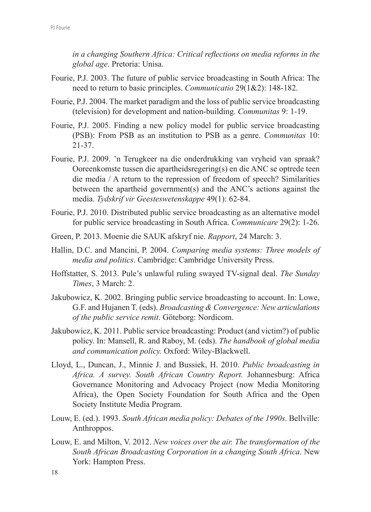*in a changing Southern Africa: Critical reflections on media reforms in the global age*. Pretoria: Unisa.

- Fourie, P.J. 2003. The future of public service broadcasting in South Africa: The need to return to basic principles. *Communicatio* 29(1&2): 148-182.
- Fourie, P.J. 2004. The market paradigm and the loss of public service broadcasting (television) for development and nation-building. *Communitas* 9: 1-19.
- Fourie, P.J. 2005. Finding a new policy model for public service broadcasting (PSB): From PSB as an institution to PSB as a genre. *Communitas* 10: 21-37.
- Fourie, P.J. 2009. 'n Terugkeer na die onderdrukking van vryheid van spraak? Ooreenkomste tussen die apartheidsregering(s) en die ANC se optrede teen die media / A return to the repression of freedom of speech? Similarities between the apartheid government(s) and the ANC's actions against the media. *Tydskrif vir Geesteswetenskappe* 49(1): 62-84.
- Fourie, P.J. 2010. Distributed public service broadcasting as an alternative model for public service broadcasting in South Africa. *Communicare* 29(2): 1-26.
- Green, P. 2013. Moenie die SAUK afskryf nie. *Rapport*, 24 March: 3.
- Hallin, D.C. and Mancini, P. 2004. *Comparing media systems: Three models of media and politics*. Cambridge: Cambridge University Press.
- Hoffstatter, S. 2013. Pule's unlawful ruling swayed TV-signal deal. *The Sunday Times*, 3 March: 2.
- Jakubowicz, K. 2002. Bringing public service broadcasting to account. In: Lowe, G.F. and Hujanen T. (eds). *Broadcasting & Convergence: New articulations of the public service remit*. Göteborg: Nordicom.
- Jakubowicz, K. 2011. Public service broadcasting: Product (and victim?) of public policy. In: Mansell, R. and Raboy, M. (eds). *The handbook of global media and communication policy.* Oxford: Wiley-Blackwell.
- Lloyd, L., Duncan, J., Minnie J. and Bussiek, H. 2010. *Public broadcasting in Africa. A survey. South African Country Report.* Johannesburg: Africa Governance Monitoring and Advocacy Project (now Media Monitoring Africa), the Open Society Foundation for South Africa and the Open Society Institute Media Program.
- Louw, E. (ed.). 1993. *South African media policy: Debates of the 1990s*. Bellville: Anthroppos.
- Louw, E. and Milton, V. 2012. *New voices over the air. The transformation of the South African Broadcasting Corporation in a changing South Africa*. New York: Hampton Press.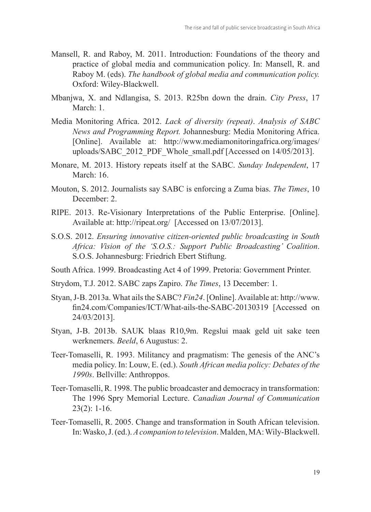- Mansell, R. and Raboy, M. 2011. Introduction: Foundations of the theory and practice of global media and communication policy. In: Mansell, R. and Raboy M. (eds). *The handbook of global media and communication policy.* Oxford: Wiley-Blackwell.
- Mbanjwa, X. and Ndlangisa, S. 2013. R25bn down the drain. *City Press*, 17 March<sup>·</sup> 1
- Media Monitoring Africa. 2012. *Lack of diversity (repeat)*. *Analysis of SABC News and Programming Report.* Johannesburg: Media Monitoring Africa. [Online]. Available at: http://www.mediamonitoringafrica.org/images/ uploads/SABC\_2012\_PDF\_Whole\_small.pdf [Accessed on 14/05/2013].
- Monare, M. 2013. History repeats itself at the SABC. *Sunday Independent*, 17 March<sup>1</sup> 16
- Mouton, S. 2012. Journalists say SABC is enforcing a Zuma bias. *The Times*, 10 December: 2.
- RIPE. 2013. Re-Visionary Interpretations of the Public Enterprise. [Online]. Available at: http://ripeat.org/ [Accessed on 13/07/2013].
- S.O.S. 2012. *Ensuring innovative citizen-oriented public broadcasting in South Africa: Vision of the 'S.O.S.: Support Public Broadcasting' Coalition*. S.O.S. Johannesburg: Friedrich Ebert Stiftung.
- South Africa. 1999. Broadcasting Act 4 of 1999. Pretoria: Government Printer.
- Strydom, T.J. 2012. SABC zaps Zapiro. *The Times*, 13 December: 1.
- Styan, J-B. 2013a. What ails the SABC? *Fin24*. [Online]. Available at: http://www. fin24.com/Companies/ICT/What-ails-the-SABC-20130319 [Accessed on 24/03/2013].
- Styan, J-B. 2013b. SAUK blaas R10,9m. Regslui maak geld uit sake teen werknemers. *Beeld*, 6 Augustus: 2.
- Teer-Tomaselli, R. 1993. Militancy and pragmatism: The genesis of the ANC's media policy. In: Louw, E. (ed.). *South African media policy: Debates of the 1990s*. Bellville: Anthroppos.
- Teer-Tomaselli, R. 1998. The public broadcaster and democracy in transformation: The 1996 Spry Memorial Lecture. *Canadian Journal of Communication* 23(2): 1-16.
- Teer-Tomaselli, R. 2005. Change and transformation in South African television. In: Wasko, J. (ed.). *A companion to television*. Malden, MA: Wily-Blackwell.